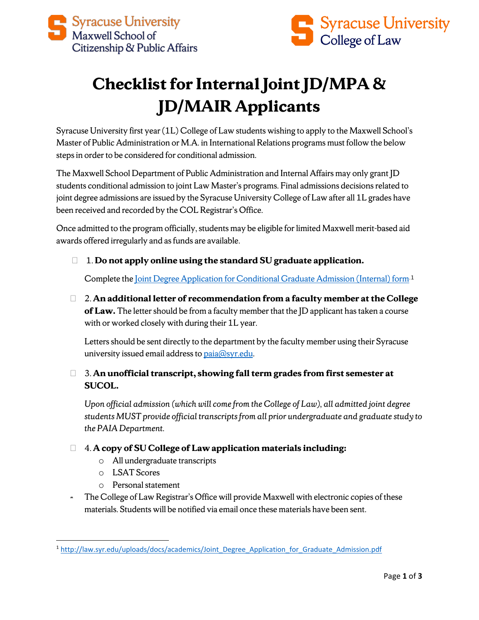

# **Checklist for Internal Joint JD/MPA & JD/MAIR Applicants**

Syracuse University first year (1L) College of Law students wishing to apply to the Maxwell School's Master of Public Administration or M.A. in International Relations programs must follow the below steps in order to be considered for conditional admission.

The Maxwell School Department of Public Administration and Internal Affairs may only grant JD students conditional admission to joint Law Master's programs. Final admissions decisionsrelated to joint degree admissions are issued by the Syracuse University College of Law after all 1L grades have been received and recorded by the COL Registrar's Office.

Once admitted to the program officially, students may be eligible for limited Maxwell merit-based aid awards offered irregularly and as funds are available.

1. **Do not apply online using the standard SU graduate application.** 

Complete the <u>Joint Degree Application for Conditional Graduate Admission</u> (Internal) form<sup>[1](#page-0-0)</sup>

 2. **An additional letter of recommendation from a faculty member at the College of Law.** The letter should be from a faculty member that the JD applicant has taken a course with or worked closely with during their 1L year.

Letters should be sent directly to the department by the faculty member using their Syracuse university issued email address t[o paia@syr.edu.](mailto:paia@syr.edu)

### 3. **An unofficial transcript, showing fall term grades from first semester at SUCOL.**

*Upon official admission (which will come from the College of Law), all admitted joint degree students MUST provide official transcripts from all prior undergraduate and graduate study to the PAIA Department.*

### 4. **A copy of SU College of Law application materials including:**

- o All undergraduate transcripts
- o LSAT Scores
- o Personal statement
- The College of Law Registrar's Office will provide Maxwell with electronic copies of these materials. Students will be notified via email once these materials have been sent.

<span id="page-0-0"></span><sup>&</sup>lt;sup>1</sup> [http://law.syr.edu/uploads/docs/academics/Joint\\_Degree\\_Application\\_for\\_Graduate\\_Admission.pdf](http://law.syr.edu/uploads/docs/academics/Joint_Degree_Application_for_Graduate_Admission.pdf)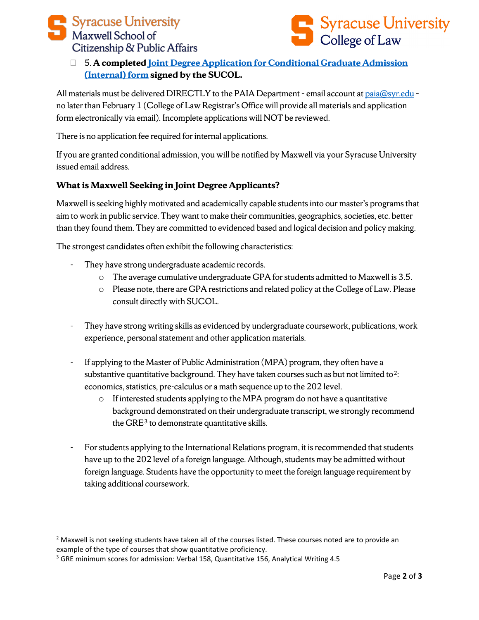



## 5. **A complete[d Joint Degree Application for Conditional Graduate Admission](http://law.syr.edu/uploads/docs/academics/Joint_Degree_Application_for_Graduate_Admission.pdf)  [\(Internal\) form](http://law.syr.edu/uploads/docs/academics/Joint_Degree_Application_for_Graduate_Admission.pdf) signed by the SUCOL.**

All materials must be delivered DIRECTLY to the PAIA Department - email account at [paia@syr.edu](mailto:paia@syr.edu) no later than February 1 (College of Law Registrar's Office will provide all materials and application form electronically via email). Incomplete applications will NOT be reviewed.

There is no application fee required for internal applications.

If you are granted conditional admission, you will be notified by Maxwell via your Syracuse University issued email address.

#### **What is Maxwell Seeking in Joint Degree Applicants?**

Maxwell is seeking highly motivated and academically capable students into our master's programs that aim to work in public service. They want to make their communities, geographics, societies, etc. better than they found them. They are committed to evidenced based and logical decision and policy making.

The strongest candidates often exhibit the following characteristics:

- They have strong undergraduate academic records.
	- o The average cumulative undergraduate GPA for students admitted to Maxwell is 3.5.
	- o Please note, there are GPA restrictions and related policy at the College of Law. Please consult directly with SUCOL.
- They have strong writing skills as evidenced by undergraduate coursework, publications, work experience, personal statement and other application materials.
- If applying to the Master of Public Administration (MPA) program, they often have a substantive quantitative background. They have taken courses such as but not limited to<sup>2</sup>: economics, statistics, pre-calculus or a math sequence up to the 202 level.
	- o If interested students applying to the MPA program do not have a quantitative background demonstrated on their undergraduate transcript, we strongly recommend the GRE<sup>[3](#page-1-1)</sup> to demonstrate quantitative skills.
- For students applying to the International Relations program, it is recommended that students have up to the 202 level of a foreign language. Although, students may be admitted without foreign language. Students have the opportunity to meet the foreign language requirement by taking additional coursework.

<span id="page-1-0"></span> $<sup>2</sup>$  Maxwell is not seeking students have taken all of the courses listed. These courses noted are to provide an</sup> example of the type of courses that show quantitative proficiency.

<span id="page-1-1"></span><sup>3</sup> GRE minimum scores for admission: Verbal 158, Quantitative 156, Analytical Writing 4.5